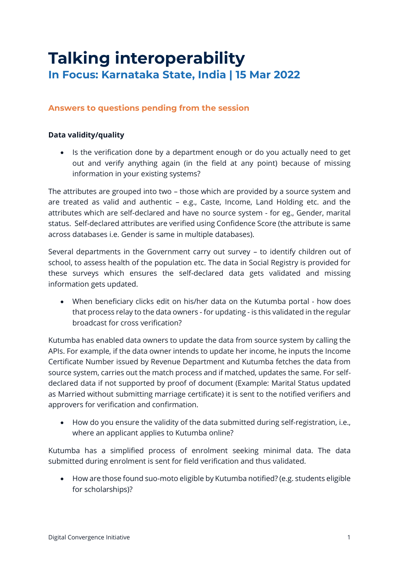# **Talking interoperability In Focus: Karnataka State, India | 15 Mar 2022**

## **Answers to questions pending from the session**

## **Data validity/quality**

• Is the verification done by a department enough or do you actually need to get out and verify anything again (in the field at any point) because of missing information in your existing systems?

The attributes are grouped into two – those which are provided by a source system and are treated as valid and authentic – e.g., Caste, Income, Land Holding etc. and the attributes which are self-declared and have no source system - for eg., Gender, marital status. Self-declared attributes are verified using Confidence Score (the attribute is same across databases i.e. Gender is same in multiple databases).

Several departments in the Government carry out survey – to identify children out of school, to assess health of the population etc. The data in Social Registry is provided for these surveys which ensures the self-declared data gets validated and missing information gets updated.

• When beneficiary clicks edit on his/her data on the Kutumba portal - how does that process relay to the data owners - for updating - is this validated in the regular broadcast for cross verification?

Kutumba has enabled data owners to update the data from source system by calling the APIs. For example, if the data owner intends to update her income, he inputs the Income Certificate Number issued by Revenue Department and Kutumba fetches the data from source system, carries out the match process and if matched, updates the same. For selfdeclared data if not supported by proof of document (Example: Marital Status updated as Married without submitting marriage certificate) it is sent to the notified verifiers and approvers for verification and confirmation.

• How do you ensure the validity of the data submitted during self-registration, i.e., where an applicant applies to Kutumba online?

Kutumba has a simplified process of enrolment seeking minimal data. The data submitted during enrolment is sent for field verification and thus validated.

• How are those found suo-moto eligible by Kutumba notified? (e.g. students eligible for scholarships)?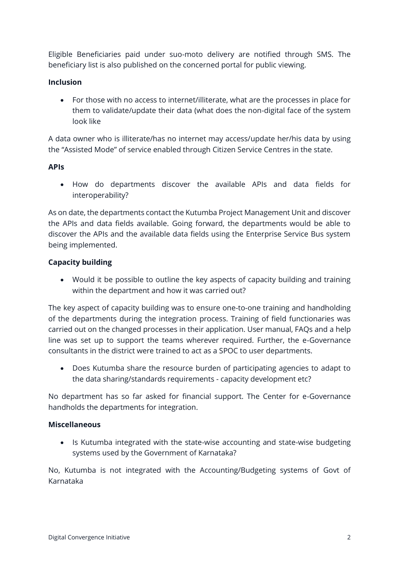Eligible Beneficiaries paid under suo-moto delivery are notified through SMS. The beneficiary list is also published on the concerned portal for public viewing.

### **Inclusion**

• For those with no access to internet/illiterate, what are the processes in place for them to validate/update their data (what does the non-digital face of the system look like

A data owner who is illiterate/has no internet may access/update her/his data by using the "Assisted Mode" of service enabled through Citizen Service Centres in the state.

### **APIs**

• How do departments discover the available APIs and data fields for interoperability?

As on date, the departments contact the Kutumba Project Management Unit and discover the APIs and data fields available. Going forward, the departments would be able to discover the APIs and the available data fields using the Enterprise Service Bus system being implemented.

### **Capacity building**

• Would it be possible to outline the key aspects of capacity building and training within the department and how it was carried out?

The key aspect of capacity building was to ensure one-to-one training and handholding of the departments during the integration process. Training of field functionaries was carried out on the changed processes in their application. User manual, FAQs and a help line was set up to support the teams wherever required. Further, the e-Governance consultants in the district were trained to act as a SPOC to user departments.

• Does Kutumba share the resource burden of participating agencies to adapt to the data sharing/standards requirements - capacity development etc?

No department has so far asked for financial support. The Center for e-Governance handholds the departments for integration.

#### **Miscellaneous**

• Is Kutumba integrated with the state-wise accounting and state-wise budgeting systems used by the Government of Karnataka?

No, Kutumba is not integrated with the Accounting/Budgeting systems of Govt of Karnataka